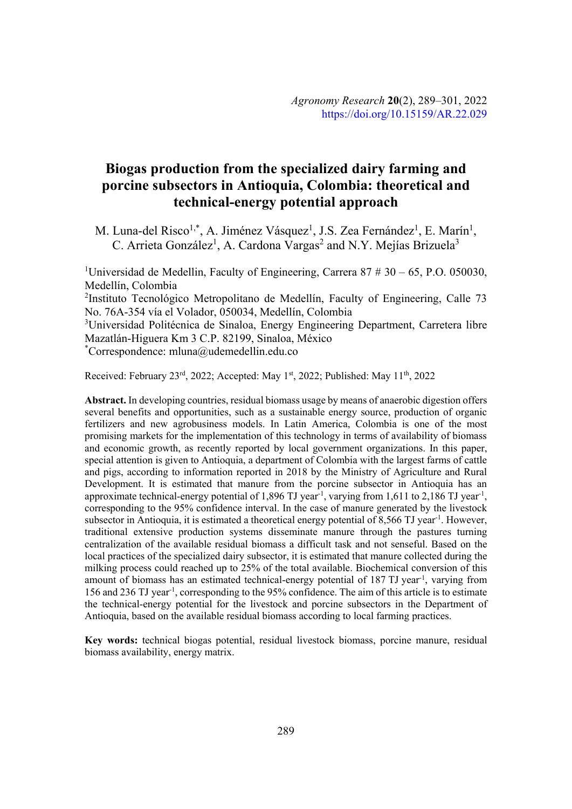# **Biogas production from the specialized dairy farming and porcine subsectors in Antioquia, Colombia: theoretical and technical-energy potential approach**

M. Luna-del Risco<sup>1,\*</sup>, A. Jiménez Vásquez<sup>1</sup>, J.S. Zea Fernández<sup>1</sup>, E. Marín<sup>1</sup>, C. Arrieta González<sup>1</sup>, A. Cardona Vargas<sup>2</sup> and N.Y. Mejías Brizuela<sup>3</sup>

<sup>1</sup>Universidad de Medellin, Faculty of Engineering, Carrera 87  $# 30 - 65$ , P.O. 050030, Medellín, Colombia <sup>2</sup>Instituto Tecnológico Metropolitano de Medellín, Faculty of Engineering, Calle 73 No. 76A-354 vía el Volador, 050034, Medellín, Colombia <sup>3</sup>Universidad Politécnica de Sinaloa, Energy Engineering Department, Carretera libre Mazatlán-Higuera Km 3 C.P. 82199, Sinaloa, México

\* Correspondence: mluna@udemedellin.edu.co

Received: February 23<sup>rd</sup>, 2022; Accepted: May 1<sup>st</sup>, 2022; Published: May 11<sup>th</sup>, 2022

**Abstract.** In developing countries, residual biomass usage by means of anaerobic digestion offers several benefits and opportunities, such as a sustainable energy source, production of organic fertilizers and new agrobusiness models. In Latin America, Colombia is one of the most promising markets for the implementation of this technology in terms of availability of biomass and economic growth, as recently reported by local government organizations. In this paper, special attention is given to Antioquia, a department of Colombia with the largest farms of cattle and pigs, according to information reported in 2018 by the Ministry of Agriculture and Rural Development. It is estimated that manure from the porcine subsector in Antioquia has an approximate technical-energy potential of 1,896 TJ year<sup>-1</sup>, varying from 1,611 to 2,186 TJ year<sup>-1</sup>, corresponding to the 95% confidence interval. In the case of manure generated by the livestock subsector in Antioquia, it is estimated a theoretical energy potential of 8,566 TJ year<sup>-1</sup>. However, traditional extensive production systems disseminate manure through the pastures turning centralization of the available residual biomass a difficult task and not senseful. Based on the local practices of the specialized dairy subsector, it is estimated that manure collected during the milking process could reached up to 25% of the total available. Biochemical conversion of this amount of biomass has an estimated technical-energy potential of 187 TJ year<sup>-1</sup>, varying from 156 and 236 TJ year-1 , corresponding to the 95% confidence. The aim of this article is to estimate the technical-energy potential for the livestock and porcine subsectors in the Department of Antioquia, based on the available residual biomass according to local farming practices.

**Key words:** technical biogas potential, residual livestock biomass, porcine manure, residual biomass availability, energy matrix.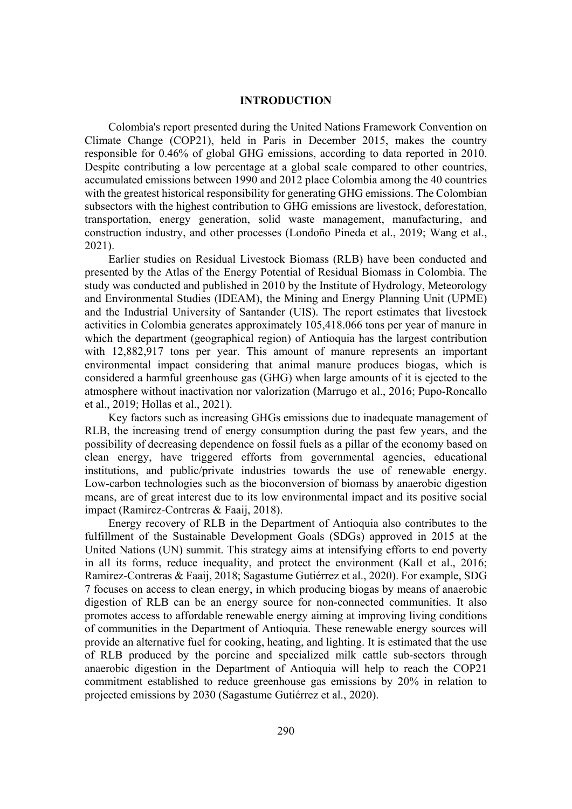## **INTRODUCTION**

Colombia's report presented during the United Nations Framework Convention on Climate Change (COP21), held in Paris in December 2015, makes the country responsible for 0.46% of global GHG emissions, according to data reported in 2010. Despite contributing a low percentage at a global scale compared to other countries, accumulated emissions between 1990 and 2012 place Colombia among the 40 countries with the greatest historical responsibility for generating GHG emissions. The Colombian subsectors with the highest contribution to GHG emissions are livestock, deforestation, transportation, energy generation, solid waste management, manufacturing, and construction industry, and other processes (Londoño Pineda et al., 2019; Wang et al., 2021).

Earlier studies on Residual Livestock Biomass (RLB) have been conducted and presented by the Atlas of the Energy Potential of Residual Biomass in Colombia. The study was conducted and published in 2010 by the Institute of Hydrology, Meteorology and Environmental Studies (IDEAM), the Mining and Energy Planning Unit (UPME) and the Industrial University of Santander (UIS). The report estimates that livestock activities in Colombia generates approximately 105,418.066 tons per year of manure in which the department (geographical region) of Antioquia has the largest contribution with 12,882,917 tons per year. This amount of manure represents an important environmental impact considering that animal manure produces biogas, which is considered a harmful greenhouse gas (GHG) when large amounts of it is ejected to the atmosphere without inactivation nor valorization (Marrugo et al., 2016; Pupo-Roncallo et al., 2019; Hollas et al., 2021).

Key factors such as increasing GHGs emissions due to inadequate management of RLB, the increasing trend of energy consumption during the past few years, and the possibility of decreasing dependence on fossil fuels as a pillar of the economy based on clean energy, have triggered efforts from governmental agencies, educational institutions, and public/private industries towards the use of renewable energy. Low-carbon technologies such as the bioconversion of biomass by anaerobic digestion means, are of great interest due to its low environmental impact and its positive social impact (Ramirez-Contreras & Faaij, 2018).

Energy recovery of RLB in the Department of Antioquia also contributes to the fulfillment of the Sustainable Development Goals (SDGs) approved in 2015 at the United Nations (UN) summit. This strategy aims at intensifying efforts to end poverty in all its forms, reduce inequality, and protect the environment (Kall et al., 2016; Ramirez-Contreras & Faaij, 2018; Sagastume Gutiérrez et al., 2020). For example, SDG 7 focuses on access to clean energy, in which producing biogas by means of anaerobic digestion of RLB can be an energy source for non-connected communities. It also promotes access to affordable renewable energy aiming at improving living conditions of communities in the Department of Antioquia. These renewable energy sources will provide an alternative fuel for cooking, heating, and lighting. It is estimated that the use of RLB produced by the porcine and specialized milk cattle sub-sectors through anaerobic digestion in the Department of Antioquia will help to reach the COP21 commitment established to reduce greenhouse gas emissions by 20% in relation to projected emissions by 2030 (Sagastume Gutiérrez et al., 2020).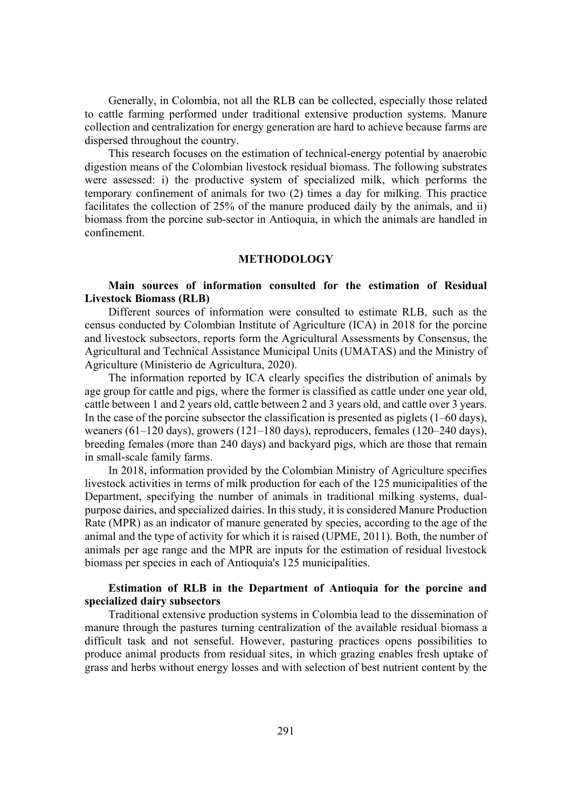Generally, in Colombia, not all the RLB can be collected, especially those related to cattle farming performed under traditional extensive production systems. Manure collection and centralization for energy generation are hard to achieve because farms are dispersed throughout the country.

This research focuses on the estimation of technical-energy potential by anaerobic digestion means of the Colombian livestock residual biomass. The following substrates were assessed: i) the productive system of specialized milk, which performs the temporary confinement of animals for two (2) times a day for milking. This practice facilitates the collection of 25% of the manure produced daily by the animals, and ii) biomass from the porcine sub-sector in Antioquia, in which the animals are handled in confinement.

## **METHODOLOGY**

# **Main sources of information consulted for the estimation of Residual Livestock Biomass (RLB)**

Different sources of information were consulted to estimate RLB, such as the census conducted by Colombian Institute of Agriculture (ICA) in 2018 for the porcine and livestock subsectors, reports form the Agricultural Assessments by Consensus, the Agricultural and Technical Assistance Municipal Units (UMATAS) and the Ministry of Agriculture (Ministerio de Agricultura, 2020).

The information reported by ICA clearly specifies the distribution of animals by age group for cattle and pigs, where the former is classified as cattle under one year old, cattle between 1 and 2 years old, cattle between 2 and 3 years old, and cattle over 3 years. In the case of the porcine subsector the classification is presented as piglets (1–60 days), weaners (61–120 days), growers (121–180 days), reproducers, females (120–240 days), breeding females (more than 240 days) and backyard pigs, which are those that remain in small-scale family farms.

In 2018, information provided by the Colombian Ministry of Agriculture specifies livestock activities in terms of milk production for each of the 125 municipalities of the Department, specifying the number of animals in traditional milking systems, dualpurpose dairies, and specialized dairies. In this study, it is considered Manure Production Rate (MPR) as an indicator of manure generated by species, according to the age of the animal and the type of activity for which it is raised (UPME, 2011). Both, the number of animals per age range and the MPR are inputs for the estimation of residual livestock biomass per species in each of Antioquia's 125 municipalities.

# **Estimation of RLB in the Department of Antioquia for the porcine and specialized dairy subsectors**

Traditional extensive production systems in Colombia lead to the dissemination of manure through the pastures turning centralization of the available residual biomass a difficult task and not senseful. However, pasturing practices opens possibilities to produce animal products from residual sites, in which grazing enables fresh uptake of grass and herbs without energy losses and with selection of best nutrient content by the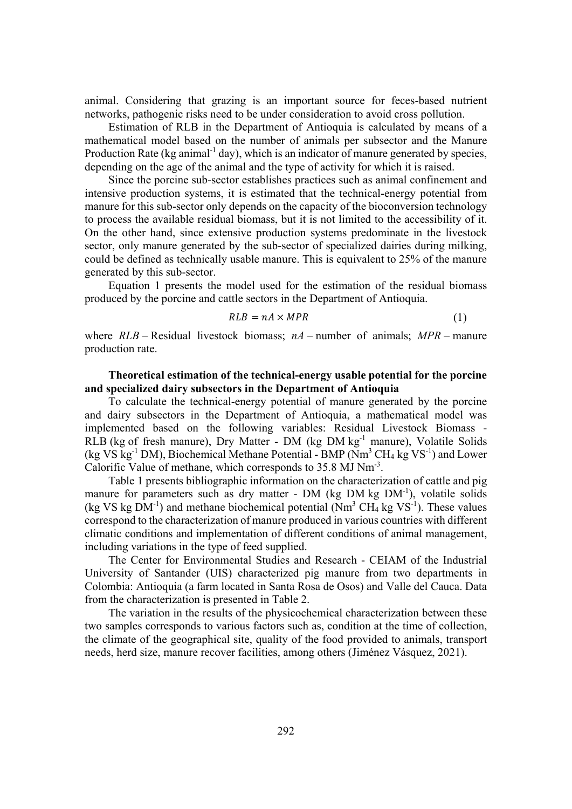animal. Considering that grazing is an important source for feces-based nutrient networks, pathogenic risks need to be under consideration to avoid cross pollution.

Estimation of RLB in the Department of Antioquia is calculated by means of a mathematical model based on the number of animals per subsector and the Manure Production Rate (kg animal<sup>-1</sup> day), which is an indicator of manure generated by species, depending on the age of the animal and the type of activity for which it is raised.

Since the porcine sub-sector establishes practices such as animal confinement and intensive production systems, it is estimated that the technical-energy potential from manure for this sub-sector only depends on the capacity of the bioconversion technology to process the available residual biomass, but it is not limited to the accessibility of it. On the other hand, since extensive production systems predominate in the livestock sector, only manure generated by the sub-sector of specialized dairies during milking, could be defined as technically usable manure. This is equivalent to 25% of the manure generated by this sub-sector.

Equation 1 presents the model used for the estimation of the residual biomass produced by the porcine and cattle sectors in the Department of Antioquia.

$$
RLB = nA \times MPR \tag{1}
$$

where  $RLB$  – Residual livestock biomass;  $nA$  – number of animals;  $MPR$  – manure production rate.

# **Theoretical estimation of the technical-energy usable potential for the porcine and specialized dairy subsectors in the Department of Antioquia**

To calculate the technical-energy potential of manure generated by the porcine and dairy subsectors in the Department of Antioquia, a mathematical model was implemented based on the following variables: Residual Livestock Biomass - RLB (kg of fresh manure), Dry Matter - DM (kg DM kg<sup>-1</sup> manure), Volatile Solids (kg VS kg<sup>-1</sup> DM), Biochemical Methane Potential - BMP ( $Nm^3$  CH<sub>4</sub> kg VS<sup>-1</sup>) and Lower Calorific Value of methane, which corresponds to 35.8 MJ Nm<sup>-3</sup>.

Table 1 presents bibliographic information on the characterization of cattle and pig manure for parameters such as dry matter - DM (kg DM kg  $DM^{-1}$ ), volatile solids (kg VS kg  $DM^{-1}$ ) and methane biochemical potential (Nm<sup>3</sup> CH<sub>4</sub> kg VS<sup>-1</sup>). These values correspond to the characterization of manure produced in various countries with different climatic conditions and implementation of different conditions of animal management, including variations in the type of feed supplied.

The Center for Environmental Studies and Research - CEIAM of the Industrial University of Santander (UIS) characterized pig manure from two departments in Colombia: Antioquia (a farm located in Santa Rosa de Osos) and Valle del Cauca. Data from the characterization is presented in Table 2.

The variation in the results of the physicochemical characterization between these two samples corresponds to various factors such as, condition at the time of collection, the climate of the geographical site, quality of the food provided to animals, transport needs, herd size, manure recover facilities, among others (Jiménez Vásquez, 2021).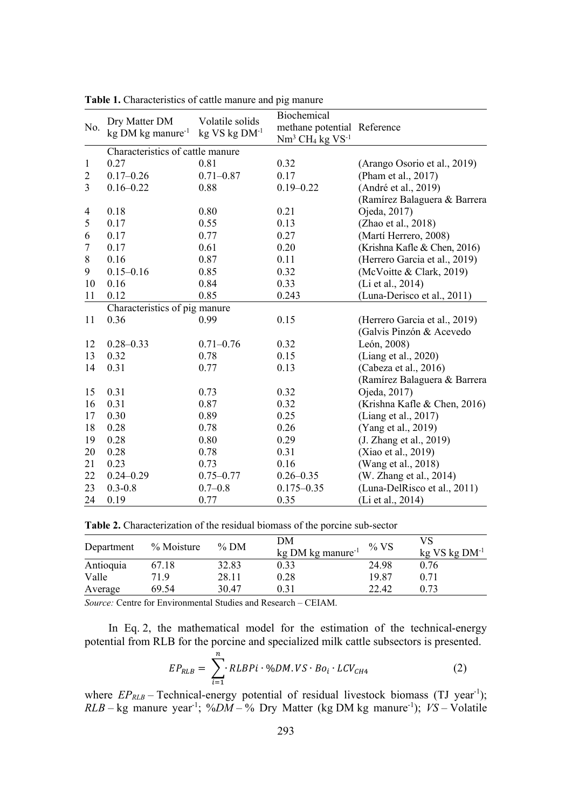|                |                                  |                               | Biochemical                 |                               |  |
|----------------|----------------------------------|-------------------------------|-----------------------------|-------------------------------|--|
| No.            | Dry Matter DM                    | Volatile solids               | methane potential Reference |                               |  |
|                | kg DM kg manure <sup>-1</sup>    | $kg$ VS $kg$ DM <sup>-1</sup> | $Nm3 CH4 kg VS-1$           |                               |  |
|                | Characteristics of cattle manure |                               |                             |                               |  |
| $\mathbf{1}$   | 0.27                             | 0.81                          | 0.32                        | (Arango Osorio et al., 2019)  |  |
| $\overline{c}$ | $0.17 - 0.26$                    | $0.71 - 0.87$                 | 0.17                        | (Pham et al., 2017)           |  |
| $\overline{3}$ | $0.16 - 0.22$                    | 0.88                          | $0.19 - 0.22$               | (André et al., 2019)          |  |
|                |                                  |                               |                             | (Ramírez Balaguera & Barrera  |  |
| $\overline{4}$ | 0.18                             | 0.80                          | 0.21                        | Ojeda, 2017)                  |  |
| 5              | 0.17                             | 0.55                          | 0.13                        | (Zhao et al., 2018)           |  |
| 6              | 0.17                             | 0.77                          | 0.27                        | (Martí Herrero, 2008)         |  |
| $\tau$         | 0.17                             | 0.61                          | 0.20                        | (Krishna Kafle & Chen, 2016)  |  |
| $\,8\,$        | 0.16                             | 0.87                          | 0.11                        | (Herrero Garcia et al., 2019) |  |
| 9              | $0.15 - 0.16$                    | 0.85                          | 0.32                        | (McVoitte & Clark, 2019)      |  |
| 10             | 0.16                             | 0.84                          | 0.33                        | (Li et al., 2014)             |  |
| 11             | 0.12                             | 0.85                          | 0.243                       | (Luna-Derisco et al., 2011)   |  |
|                | Characteristics of pig manure    |                               |                             |                               |  |
| 11             | 0.36                             | 0.99                          | 0.15                        | (Herrero Garcia et al., 2019) |  |
|                |                                  |                               |                             | (Galvis Pinzón & Acevedo      |  |
| 12             | $0.28 - 0.33$                    | $0.71 - 0.76$                 | 0.32                        | León, 2008)                   |  |
| 13             | 0.32                             | 0.78                          | 0.15                        | (Liang et al., 2020)          |  |
| 14             | 0.31                             | 0.77                          | 0.13                        | (Cabeza et al., 2016)         |  |
|                |                                  |                               |                             | (Ramírez Balaguera & Barrera  |  |
| 15             | 0.31                             | 0.73                          | 0.32                        | Ojeda, 2017)                  |  |
| 16             | 0.31                             | 0.87                          | 0.32                        | (Krishna Kafle & Chen, 2016)  |  |
| 17             | 0.30                             | 0.89                          | 0.25                        | (Liang et al., 2017)          |  |
| 18             | 0.28                             | 0.78                          | 0.26                        | (Yang et al., 2019)           |  |
| 19             | 0.28                             | 0.80                          | 0.29                        | (J. Zhang et al., 2019)       |  |
| 20             | 0.28                             | 0.78                          | 0.31                        | (Xiao et al., 2019)           |  |
| 21             | 0.23                             | 0.73                          | 0.16                        | (Wang et al., 2018)           |  |
| 22             | $0.24 - 0.29$                    | $0.75 - 0.77$                 | $0.26 - 0.35$               | (W. Zhang et al., 2014)       |  |
| 23             | $0.3 - 0.8$                      | $0.7 - 0.8$                   | $0.175 - 0.35$              | (Luna-DelRisco et al., 2011)  |  |
| 24             | 0.19                             | 0.77                          | 0.35                        | (Li et al., 2014)             |  |

**Table 1.** Characteristics of cattle manure and pig manure

**Table 2.** Characterization of the residual biomass of the porcine sub-sector

| Department | % Moisture | $%$ DM | DM<br>$kg$ DM kg manure <sup>-1</sup> | $\%$ VS | VS<br>$kg$ VS kg $DM^{-1}$ |
|------------|------------|--------|---------------------------------------|---------|----------------------------|
| Antioquia  | 67.18      | 32.83  | 0.33                                  | 24.98   | 0.76                       |
| Valle      | 71.9       | 28.11  | 0.28                                  | 19.87   | 0.71                       |
| Average    | 69.54      | 30.47  | 0.31                                  | 22.42   | 0.73                       |

*Source:* Centre for Environmental Studies and Research – CEIAM.

In Eq. 2, the mathematical model for the estimation of the technical-energy potential from RLB for the porcine and specialized milk cattle subsectors is presented.

$$
EP_{RLB} = \sum_{i=1}^{n} R L BPi \cdot \%DM. VS \cdot Bo_i \cdot LCV_{CH4}
$$
 (2)

where  $EP_{RLB}$  – Technical-energy potential of residual livestock biomass (TJ year<sup>-1</sup>);  $RLB - kg$  manure year<sup>-1</sup>;  $\%DM - \%$  Dry Matter (kg DM kg manure<sup>-1</sup>); *VS*-Volatile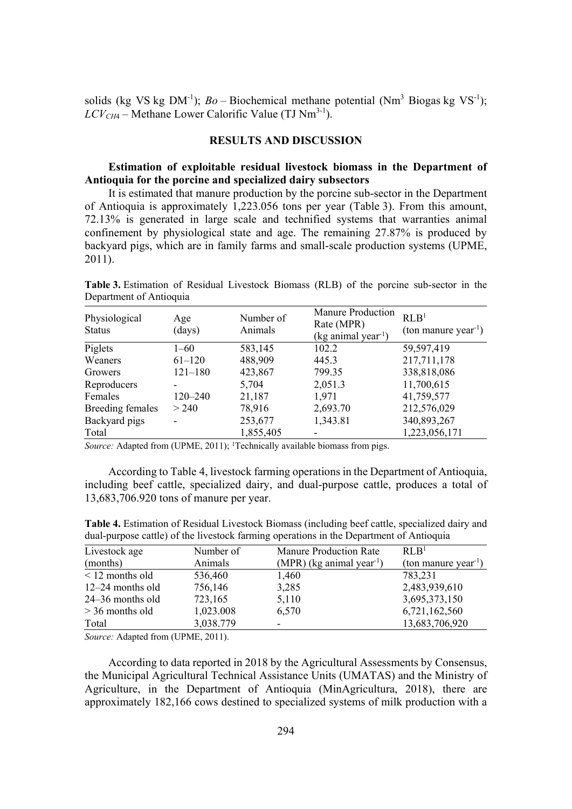solids (kg VS kg DM<sup>-1</sup>); *Bo* – Biochemical methane potential (Nm<sup>3</sup> Biogas kg VS<sup>-1</sup>);  $LCV_{CH4}$  – Methane Lower Calorific Value (TJ Nm<sup>3-1</sup>).

#### **RESULTS AND DISCUSSION**

# **Estimation of exploitable residual livestock biomass in the Department of Antioquia for the porcine and specialized dairy subsectors**

It is estimated that manure production by the porcine sub-sector in the Department of Antioquia is approximately 1,223.056 tons per year (Table 3). From this amount, 72.13% is generated in large scale and technified systems that warranties animal confinement by physiological state and age. The remaining 27.87% is produced by backyard pigs, which are in family farms and small-scale production systems (UPME, 2011).

**Table 3.** Estimation of Residual Livestock Biomass (RLB) of the porcine sub-sector in the Department of Antioquia

| Physiological<br><b>Status</b> | Age<br>(days) | Number of<br>Animals | <b>Manure Production</b><br>Rate (MPR)<br>(kg animal year <sup>-1</sup> ) | RLB <sup>1</sup><br>(ton manure year <sup>-1</sup> ) |
|--------------------------------|---------------|----------------------|---------------------------------------------------------------------------|------------------------------------------------------|
| Piglets                        | $1 - 60$      | 583,145              | 102.2                                                                     | 59,597,419                                           |
| Weaners                        | $61 - 120$    | 488,909              | 445.3                                                                     | 217,711,178                                          |
| Growers                        | $121 - 180$   | 423,867              | 799.35                                                                    | 338,818,086                                          |
| Reproducers                    |               | 5,704                | 2,051.3                                                                   | 11,700,615                                           |
| Females                        | 120–240       | 21,187               | 1,971                                                                     | 41,759,577                                           |
| <b>Breeding females</b>        | > 240         | 78,916               | 2,693.70                                                                  | 212,576,029                                          |
| Backyard pigs                  |               | 253,677              | 1,343.81                                                                  | 340,893,267                                          |
| Total                          |               | 1,855,405            |                                                                           | 1,223,056,171                                        |

Source: Adapted from (UPME, 2011); <sup>1</sup>Technically available biomass from pigs.

According to Table 4, livestock farming operations in the Department of Antioquia, including beef cattle, specialized dairy, and dual-purpose cattle, produces a total of 13,683,706.920 tons of manure per year.

**Table 4.** Estimation of Residual Livestock Biomass (including beef cattle, specialized dairy and dual-purpose cattle) of the livestock farming operations in the Department of Antioquia

| Livestock age      | Number of | Manure Production Rate                  | RLB <sup>1</sup>                 |
|--------------------|-----------|-----------------------------------------|----------------------------------|
| (months)           | Animals   | $(MPR)$ (kg animal year <sup>-1</sup> ) | (ton manure year <sup>-1</sup> ) |
| $<$ 12 months old  | 536,460   | 1,460                                   | 783,231                          |
| $12-24$ months old | 756,146   | 3,285                                   | 2,483,939,610                    |
| $24-36$ months old | 723,165   | 5,110                                   | 3,695,373,150                    |
| $>$ 36 months old  | 1,023.008 | 6,570                                   | 6,721,162,560                    |
| Total              | 3,038.779 | -                                       | 13,683,706,920                   |

*Source:* Adapted from (UPME, 2011).

According to data reported in 2018 by the Agricultural Assessments by Consensus, the Municipal Agricultural Technical Assistance Units (UMATAS) and the Ministry of Agriculture, in the Department of Antioquia (MinAgricultura, 2018), there are approximately 182,166 cows destined to specialized systems of milk production with a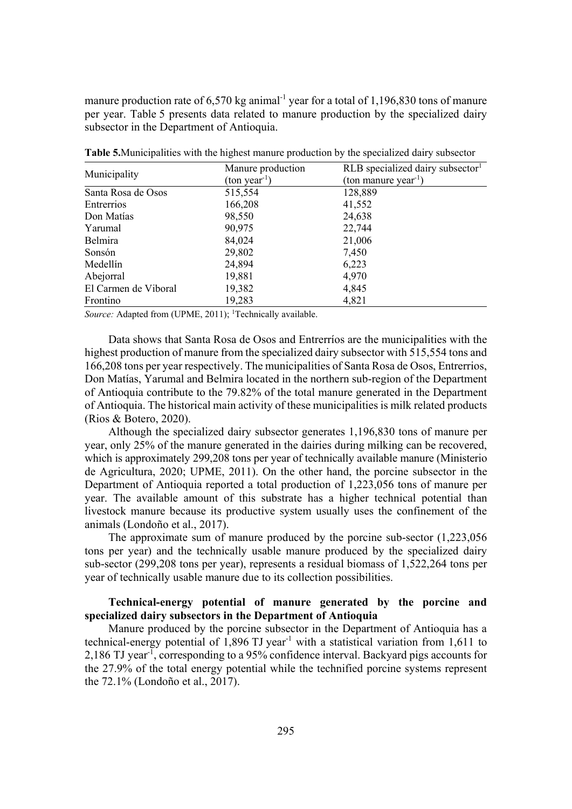manure production rate of 6,570 kg animal<sup>-1</sup> year for a total of 1,196,830 tons of manure per year. Table 5 presents data related to manure production by the specialized dairy subsector in the Department of Antioquia.

|                      | Manure production     | $RLB$ specialized dairy subsector <sup>1</sup> |  |
|----------------------|-----------------------|------------------------------------------------|--|
| Municipality         | $(\text{ton year}^1)$ | (ton manure year <sup>-1</sup> )               |  |
| Santa Rosa de Osos   | 515,554               | 128,889                                        |  |
| Entrerrios           | 166,208               | 41,552                                         |  |
| Don Matías           | 98,550                | 24,638                                         |  |
| Yarumal              | 90,975                | 22,744                                         |  |
| Belmira              | 84,024                | 21,006                                         |  |
| Sonsón               | 29,802                | 7,450                                          |  |
| Medellín             | 24,894                | 6,223                                          |  |
| Abejorral            | 19,881                | 4,970                                          |  |
| El Carmen de Viboral | 19,382                | 4,845                                          |  |
| Frontino             | 19,283                | 4,821                                          |  |

**Table 5.**Municipalities with the highest manure production by the specialized dairy subsector

Source: Adapted from (UPME, 2011); <sup>1</sup>Technically available.

Data shows that Santa Rosa de Osos and Entrerríos are the municipalities with the highest production of manure from the specialized dairy subsector with 515,554 tons and 166,208 tons per year respectively. The municipalities of Santa Rosa de Osos, Entrerrios, Don Matías, Yarumal and Belmira located in the northern sub-region of the Department of Antioquia contribute to the 79.82% of the total manure generated in the Department of Antioquia. The historical main activity of these municipalities is milk related products (Rios & Botero, 2020).

Although the specialized dairy subsector generates 1,196,830 tons of manure per year, only 25% of the manure generated in the dairies during milking can be recovered, which is approximately 299,208 tons per year of technically available manure (Ministerio de Agricultura, 2020; UPME, 2011). On the other hand, the porcine subsector in the Department of Antioquia reported a total production of 1,223,056 tons of manure per year. The available amount of this substrate has a higher technical potential than livestock manure because its productive system usually uses the confinement of the animals (Londoño et al., 2017).

The approximate sum of manure produced by the porcine sub-sector (1,223,056 tons per year) and the technically usable manure produced by the specialized dairy sub-sector (299,208 tons per year), represents a residual biomass of 1,522,264 tons per year of technically usable manure due to its collection possibilities.

# **Technical-energy potential of manure generated by the porcine and specialized dairy subsectors in the Department of Antioquia**

Manure produced by the porcine subsector in the Department of Antioquia has a technical-energy potential of  $1,896$  TJ year<sup>-1</sup> with a statistical variation from 1,611 to 2,186 TJ year<sup>-1</sup>, corresponding to a 95% confidence interval. Backyard pigs accounts for the 27.9% of the total energy potential while the technified porcine systems represent the 72.1% (Londoño et al., 2017).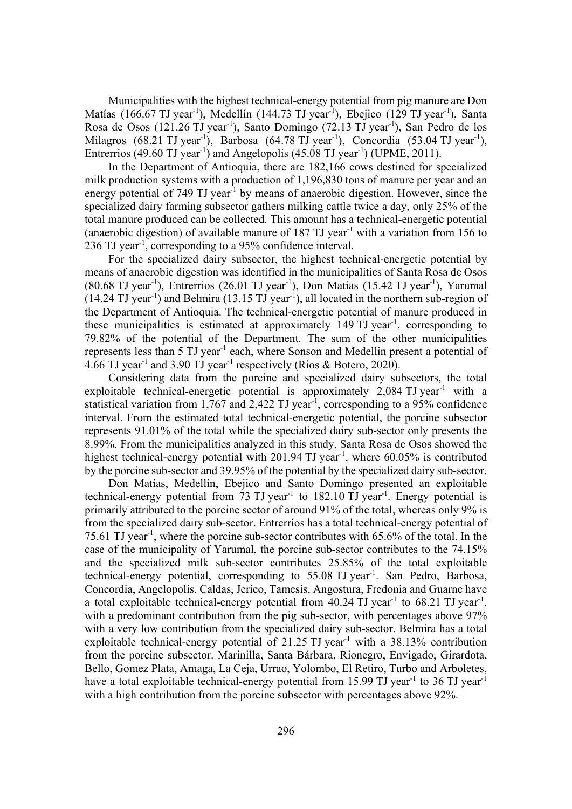Municipalities with the highest technical-energy potential from pig manure are Don Matías (166.67 TJ year<sup>-1</sup>), Medellín (144.73 TJ year<sup>-1</sup>), Ebejico (129 TJ year<sup>-1</sup>), Santa Rosa de Osos (121.26 TJ year<sup>-1</sup>), Santo Domingo (72.13 TJ year<sup>-1</sup>), San Pedro de los Milagros  $(68.21 \text{ TJ year}^1)$ , Barbosa  $(64.78 \text{ TJ year}^1)$ , Concordia  $(53.04 \text{ TJ year}^1)$ , Entrerrios (49.60 TJ year<sup>-1</sup>) and Angelopolis (45.08 TJ year<sup>-1</sup>) (UPME, 2011).

In the Department of Antioquia, there are 182,166 cows destined for specialized milk production systems with a production of 1,196,830 tons of manure per year and an energy potential of 749 TJ year<sup>-1</sup> by means of anaerobic digestion. However, since the specialized dairy farming subsector gathers milking cattle twice a day, only 25% of the total manure produced can be collected. This amount has a technical-energetic potential (anaerobic digestion) of available manure of  $187$  TJ year<sup>-1</sup> with a variation from 156 to 236 TJ year<sup>-1</sup>, corresponding to a 95% confidence interval.

For the specialized dairy subsector, the highest technical-energetic potential by means of anaerobic digestion was identified in the municipalities of Santa Rosa de Osos (80.68 TJ year<sup>-1</sup>), Entrerrios (26.01 TJ year<sup>-1</sup>), Don Matias (15.42 TJ year<sup>-1</sup>), Yarumal  $(14.24 \text{ TJ year}^{-1})$  and Belmira  $(13.15 \text{ TJ year}^{-1})$ , all located in the northern sub-region of the Department of Antioquia. The technical-energetic potential of manure produced in these municipalities is estimated at approximately 149 TJ year<sup>-1</sup>, corresponding to 79.82% of the potential of the Department. The sum of the other municipalities represents less than 5 TJ year<sup>-1</sup> each, where Sonson and Medellin present a potential of 4.66 TJ year-1 and 3.90 TJ year-1 respectively (Rios & Botero, 2020).

Considering data from the porcine and specialized dairy subsectors, the total exploitable technical-energetic potential is approximately  $2,084$  TJ year<sup>-1</sup> with a statistical variation from 1,767 and 2,422 TJ year<sup>-1</sup>, corresponding to a 95% confidence interval. From the estimated total technical-energetic potential, the porcine subsector represents 91.01% of the total while the specialized dairy sub-sector only presents the 8.99%. From the municipalities analyzed in this study, Santa Rosa de Osos showed the highest technical-energy potential with 201.94 TJ year<sup>-1</sup>, where  $60.05\%$  is contributed by the porcine sub-sector and 39.95% of the potential by the specialized dairy sub-sector.

Don Matias, Medellin, Ebejico and Santo Domingo presented an exploitable technical-energy potential from  $73$  TJ year<sup>-1</sup> to  $182.10$  TJ year<sup>-1</sup>. Energy potential is primarily attributed to the porcine sector of around 91% of the total, whereas only 9% is from the specialized dairy sub-sector. Entrerríos has a total technical-energy potential of 75.61 TJ year<sup>-1</sup>, where the porcine sub-sector contributes with 65.6% of the total. In the case of the municipality of Yarumal, the porcine sub-sector contributes to the 74.15% and the specialized milk sub-sector contributes 25.85% of the total exploitable technical-energy potential, corresponding to 55.08 TJ year<sup>-1</sup>. San Pedro, Barbosa, Concordia, Angelopolis, Caldas, Jerico, Tamesis, Angostura, Fredonia and Guarne have a total exploitable technical-energy potential from  $40.24$  TJ year<sup>-1</sup> to  $68.21$  TJ year<sup>-1</sup>, with a predominant contribution from the pig sub-sector, with percentages above 97% with a very low contribution from the specialized dairy sub-sector. Belmira has a total exploitable technical-energy potential of 21.25 TJ year<sup>-1</sup> with a 38.13% contribution from the porcine subsector. Marinilla, Santa Bárbara, Rionegro, Envigado, Girardota, Bello, Gomez Plata, Amaga, La Ceja, Urrao, Yolombo, El Retiro, Turbo and Arboletes, have a total exploitable technical-energy potential from 15.99 TJ year<sup>-1</sup> to 36 TJ year<sup>-1</sup> with a high contribution from the porcine subsector with percentages above 92%.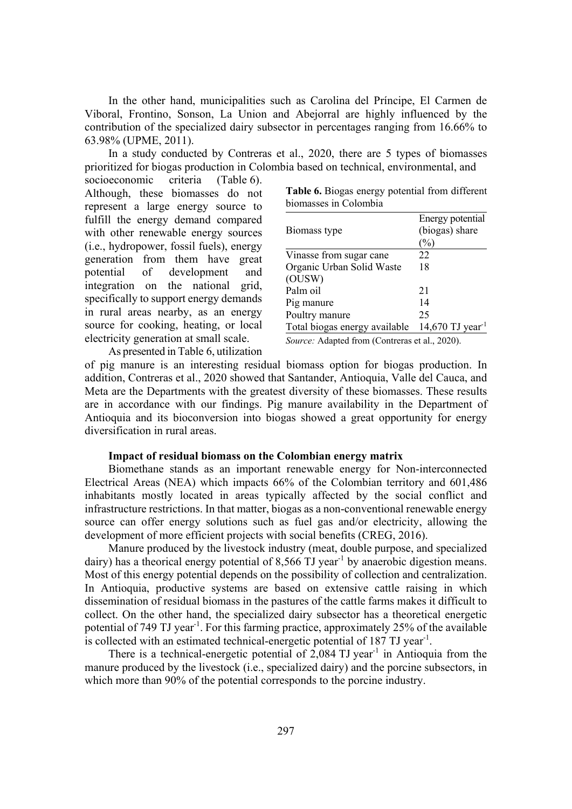In the other hand, municipalities such as Carolina del Príncipe, El Carmen de Viboral, Frontino, Sonson, La Union and Abejorral are highly influenced by the contribution of the specialized dairy subsector in percentages ranging from 16.66% to 63.98% (UPME, 2011).

In a study conducted by Contreras et al., 2020, there are 5 types of biomasses prioritized for biogas production in Colombia based on technical, environmental, and

socioeconomic criteria (Table 6). Although, these biomasses do not represent a large energy source to fulfill the energy demand compared with other renewable energy sources (i.e., hydropower, fossil fuels), energy generation from them have great potential of development and integration on the national grid, specifically to support energy demands in rural areas nearby, as an energy source for cooking, heating, or local electricity generation at small scale.

| Table 6. Biogas energy potential from different |  |  |
|-------------------------------------------------|--|--|
| biomasses in Colombia                           |  |  |

|                                                | Energy potential             |  |  |
|------------------------------------------------|------------------------------|--|--|
| Biomass type                                   | (biogas) share               |  |  |
|                                                | $\%$                         |  |  |
| Vinasse from sugar cane                        | 22                           |  |  |
| Organic Urban Solid Waste                      | 18                           |  |  |
| (OUSW)                                         |                              |  |  |
| Palm oil                                       | 21                           |  |  |
| Pig manure                                     | 14                           |  |  |
| Poultry manure                                 | 25                           |  |  |
| Total biogas energy available                  | 14,670 TJ year <sup>-1</sup> |  |  |
| Source: Adapted from (Contreras et al., 2020). |                              |  |  |

As presented in Table 6, utilization

of pig manure is an interesting residual biomass option for biogas production. In addition, Contreras et al., 2020 showed that Santander, Antioquia, Valle del Cauca, and Meta are the Departments with the greatest diversity of these biomasses. These results are in accordance with our findings. Pig manure availability in the Department of Antioquia and its bioconversion into biogas showed a great opportunity for energy diversification in rural areas.

### **Impact of residual biomass on the Colombian energy matrix**

Biomethane stands as an important renewable energy for Non-interconnected Electrical Areas (NEA) which impacts 66% of the Colombian territory and 601,486 inhabitants mostly located in areas typically affected by the social conflict and infrastructure restrictions. In that matter, biogas as a non-conventional renewable energy source can offer energy solutions such as fuel gas and/or electricity, allowing the development of more efficient projects with social benefits (CREG, 2016).

Manure produced by the livestock industry (meat, double purpose, and specialized dairy) has a theorical energy potential of 8,566 TJ year<sup>-1</sup> by anaerobic digestion means. Most of this energy potential depends on the possibility of collection and centralization. In Antioquia, productive systems are based on extensive cattle raising in which dissemination of residual biomass in the pastures of the cattle farms makes it difficult to collect. On the other hand, the specialized dairy subsector has a theoretical energetic potential of 749 TJ year<sup>-1</sup>. For this farming practice, approximately 25% of the available is collected with an estimated technical-energetic potential of 187 TJ year<sup>-1</sup>.

There is a technical-energetic potential of  $2,084$  TJ year<sup>-1</sup> in Antioquia from the manure produced by the livestock (i.e., specialized dairy) and the porcine subsectors, in which more than 90% of the potential corresponds to the porcine industry.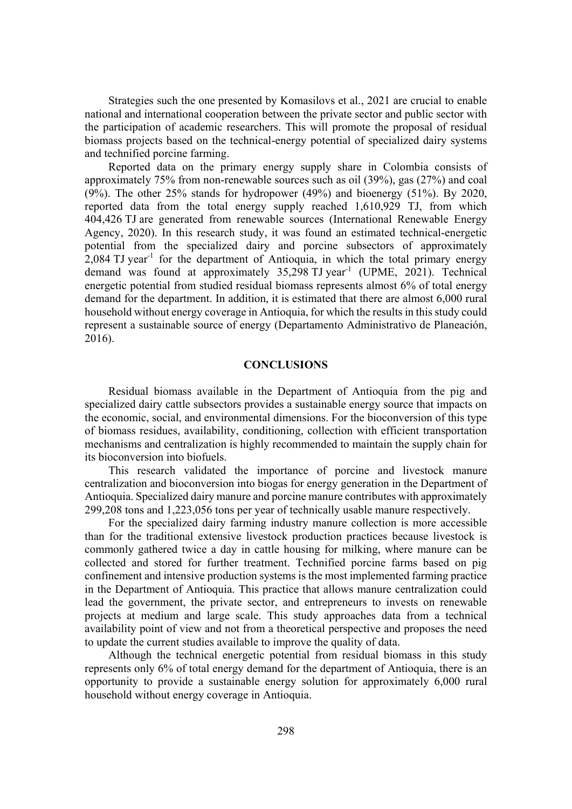Strategies such the one presented by Komasilovs et al., 2021 are crucial to enable national and international cooperation between the private sector and public sector with the participation of academic researchers. This will promote the proposal of residual biomass projects based on the technical-energy potential of specialized dairy systems and technified porcine farming.

Reported data on the primary energy supply share in Colombia consists of approximately 75% from non-renewable sources such as oil (39%), gas (27%) and coal (9%). The other 25% stands for hydropower (49%) and bioenergy (51%). By 2020, reported data from the total energy supply reached 1,610,929 TJ, from which 404,426 TJ are generated from renewable sources (International Renewable Energy Agency, 2020). In this research study, it was found an estimated technical-energetic potential from the specialized dairy and porcine subsectors of approximately  $2,084$  TJ year<sup>-1</sup> for the department of Antioquia, in which the total primary energy demand was found at approximately  $35,298$  TJ year<sup>-1</sup> (UPME, 2021). Technical energetic potential from studied residual biomass represents almost 6% of total energy demand for the department. In addition, it is estimated that there are almost 6,000 rural household without energy coverage in Antioquia, for which the results in this study could represent a sustainable source of energy (Departamento Administrativo de Planeación, 2016).

## **CONCLUSIONS**

Residual biomass available in the Department of Antioquia from the pig and specialized dairy cattle subsectors provides a sustainable energy source that impacts on the economic, social, and environmental dimensions. For the bioconversion of this type of biomass residues, availability, conditioning, collection with efficient transportation mechanisms and centralization is highly recommended to maintain the supply chain for its bioconversion into biofuels.

This research validated the importance of porcine and livestock manure centralization and bioconversion into biogas for energy generation in the Department of Antioquia. Specialized dairy manure and porcine manure contributes with approximately 299,208 tons and 1,223,056 tons per year of technically usable manure respectively.

For the specialized dairy farming industry manure collection is more accessible than for the traditional extensive livestock production practices because livestock is commonly gathered twice a day in cattle housing for milking, where manure can be collected and stored for further treatment. Technified porcine farms based on pig confinement and intensive production systems is the most implemented farming practice in the Department of Antioquia. This practice that allows manure centralization could lead the government, the private sector, and entrepreneurs to invests on renewable projects at medium and large scale. This study approaches data from a technical availability point of view and not from a theoretical perspective and proposes the need to update the current studies available to improve the quality of data.

Although the technical energetic potential from residual biomass in this study represents only 6% of total energy demand for the department of Antioquia, there is an opportunity to provide a sustainable energy solution for approximately 6,000 rural household without energy coverage in Antioquia.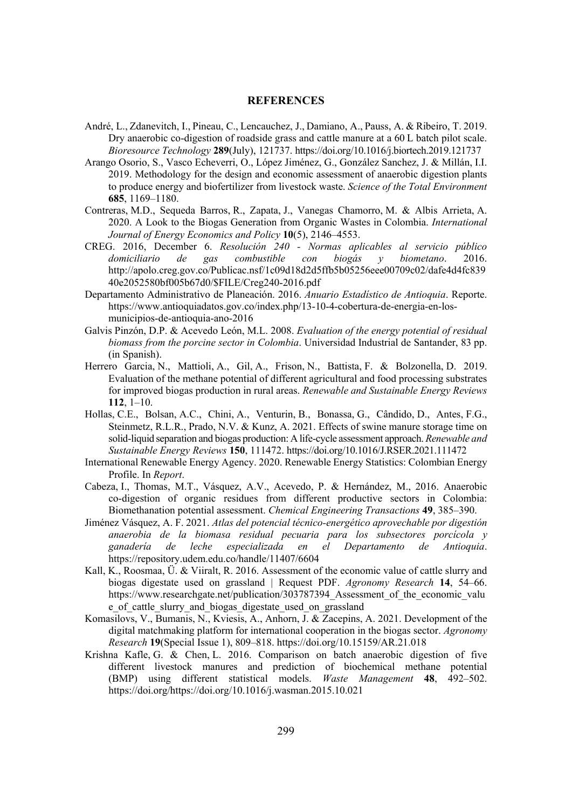### **REFERENCES**

- André, L., Zdanevitch, I., Pineau, C., Lencauchez, J., Damiano, A., Pauss, A. & Ribeiro, T. 2019. Dry anaerobic co-digestion of roadside grass and cattle manure at a 60 L batch pilot scale. *Bioresource Technology* **289**(July), 121737. https://doi.org/10.1016/j.biortech.2019.121737
- Arango Osorio, S., Vasco Echeverri, O., López Jiménez, G., González Sanchez, J. & Millán, I.I. 2019. Methodology for the design and economic assessment of anaerobic digestion plants to produce energy and biofertilizer from livestock waste. *Science of the Total Environment* **685**, 1169–1180.
- Contreras, M.D., Sequeda Barros, R., Zapata, J., Vanegas Chamorro, M. & Albis Arrieta, A. 2020. A Look to the Biogas Generation from Organic Wastes in Colombia. *International Journal of Energy Economics and Policy* 10(5), 2146–4553.
- CREG. 2016, December 6. *Resolución 240 Normas aplicables al servicio público domiciliario de gas combustible con biogás y biometano.* 2016. http://apolo.creg.gov.co/Publicac.nsf/1c09d18d2d5ffb5b05256eee00709c02/dafe4d4fc839 40e2052580bf005b67d0/\$FILE/Creg240-2016.pdf
- Departamento Administrativo de Planeación. 2016. *Anuario Estadístico de Antioquia*. Reporte. https://www.antioquiadatos.gov.co/index.php/13-10-4-cobertura-de-energia-en-losmunicipios-de-antioquia-ano-2016
- Galvis Pinzón, D.P. & Acevedo León, M.L. 2008. *Evaluation of the energy potential of residual biomass from the porcine sector in Colombia.* Universidad Industrial de Santander, 83 pp. (in Spanish).
- Herrero Garcia, N., Mattioli, A., Gil, A., Frison, N., Battista, F. & Bolzonella, D. 2019. Evaluation of the methane potential of different agricultural and food processing substrates for improved biogas production in rural areas. *Renewable and Sustainable Energy Reviews* **112**, 1–10.
- Hollas, C.E., Bolsan, A.C., Chini, A., Venturin, B., Bonassa, G., Cândido, D., Antes, F.G., Steinmetz, R.L.R., Prado, N.V. & Kunz, A. 2021. Effects of swine manure storage time on solid-liquid separation and biogas production: A life-cycle assessment approach. *Renewable and Sustainable Energy Reviews* 150, 111472. https://doi.org/10.1016/J.RSER.2021.111472
- International Renewable Energy Agency. 2020. Renewable Energy Statistics: Colombian Energy Profile. In *Report*.
- Cabeza, I., Thomas, M.T., Vásquez, A.V., Acevedo, P. & Hernández, M., 2016. Anaerobic co-digestion of organic residues from different productive sectors in Colombia: Biomethanation potential assessment. *Chemical Engineering Transactions* 49, 385–390.
- Jiménez Vásquez, A. F. 2021. *Atlas del potencial técnico-energético aprovechable por digestión* anaerobia de la biomasa residual pecuaria para los subsectores porcícola y *ganadería de leche especializada en el Departamento de Antioauia.* https://repository.udem.edu.co/handle/11407/6604
- Kall, K., Roosmaa, Ü. & Viiralt, R. 2016. Assessment of the economic value of cattle slurry and biogas digestate used on grassland | Request PDF. *Agronomy Research* **14**, 54–66. https://www.researchgate.net/publication/303787394 Assessment of the economic value e\_of\_cattle\_slurry\_and\_biogas\_digestate\_used\_on\_grassland
- Komasilovs, V., Bumanis, N., Kviesis, A., Anhorn, J. & Zacepins, A. 2021. Development of the digital matchmaking platform for international cooperation in the biogas sector. *Agronomy Research* **19**(Special Issue 1), 809–818. https://doi.org/10.15159/AR.21.018
- Krishna Kafle, G. & Chen, L. 2016. Comparison on batch anaerobic digestion of five different livestock manures and prediction of biochemical methane potential (BMP) using different statistical models. *Waste Management* 48, 492–502. https://doi.org/https://doi.org/10.1016/j.wasman.2015.10.021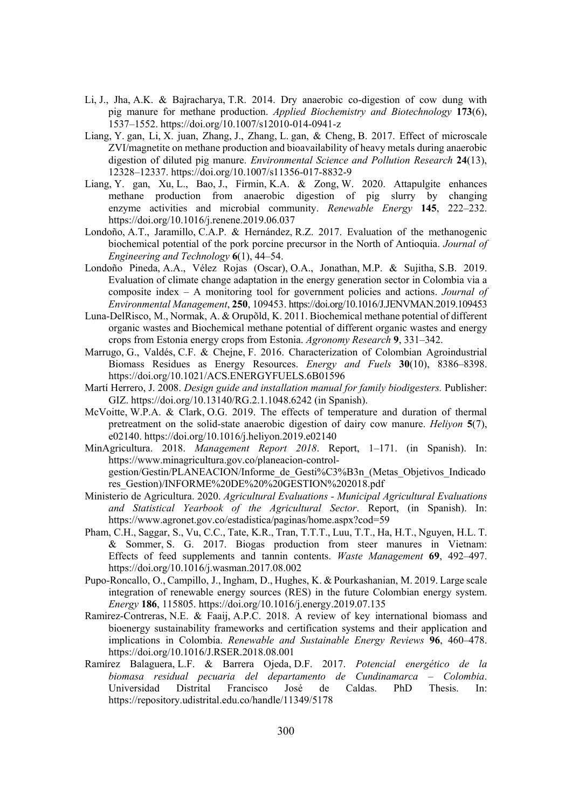- Li, J., Jha, A.K. & Bajracharya, T.R. 2014. Dry anaerobic co-digestion of cow dung with pig manure for methane production. *Applied Biochemistry and Biotechnology* 173(6), 1537–1552. https://doi.org/10.1007/s12010-014-0941-z
- Liang, Y. gan, Li, X. juan, Zhang, J., Zhang, L. gan, & Cheng, B. 2017. Effect of microscale ZVI/magnetite on methane production and bioavailability of heavy metals during anaerobic digestion of diluted pig manure. *Environmental Science and Pollution Research* 24(13), 12328–12337. https://doi.org/10.1007/s11356-017-8832-9
- Liang, Y. gan, Xu, L., Bao, J., Firmin, K.A. & Zong, W. 2020. Attapulgite enhances methane production from anaerobic digestion of pig slurry by changing enzyme activities and microbial community. *Renewable Energy* 145, 222–232. https://doi.org/10.1016/j.renene.2019.06.037
- Londoño, A.T., Jaramillo, C.A.P. & Hernández, R.Z. 2017. Evaluation of the methanogenic biochemical potential of the pork porcine precursor in the North of Antioquia. *Journal of Engineering and Technology* **6**(1), 44–54.
- Londoño Pineda, A.A., Vélez Rojas (Oscar), O.A., Jonathan, M.P. & Sujitha, S.B. 2019. Evaluation of climate change adaptation in the energy generation sector in Colombia via a composite index – A monitoring tool for government policies and actions. *Journal of Environmental Management,* 250, 109453. https://doi.org/10.1016/J.JENVMAN.2019.109453
- Luna-DelRisco, M., Normak, A. & Orupõld, K. 2011. Biochemical methane potential of different organic wastes and Biochemical methane potential of different organic wastes and energy crops from Estonia energy crops from Estonia. *Agronomy Research* **9**, 331–342.
- Marrugo, G., Valdés, C.F. & Chejne, F. 2016. Characterization of Colombian Agroindustrial Biomass Residues as Energy Resources. *Energy and Fuels* 30(10), 8386–8398. https://doi.org/10.1021/ACS.ENERGYFUELS.6B01596
- Martí Herrero, J. 2008. *Design guide and installation manual for family biodigesters*. Publisher: GIZ. https://doi.org/10.13140/RG.2.1.1048.6242 (in Spanish).
- McVoitte, W.P.A. & Clark, O.G. 2019. The effects of temperature and duration of thermal pretreatment on the solid-state anaerobic digestion of dairy cow manure. *Heliyon* **5**(7), e02140. https://doi.org/10.1016/j.heliyon.2019.e02140
- MinAgricultura. 2018. *Management Report 2018*. Report, 1–171. (in Spanish). In: https://www.minagricultura.gov.co/planeacion-controlgestion/Gestin/PLANEACION/Informe\_de\_Gesti%C3%B3n\_(Metas\_Objetivos\_Indicado res\_Gestion)/INFORME%20DE%20%20GESTION%202018.pdf
- Ministerio de Agricultura. 2020. *Agricultural Evaluations Municipal Agricultural Evaluations* and Statistical Yearbook of the Agricultural Sector. Report, (in Spanish). In: https://www.agronet.gov.co/estadistica/paginas/home.aspx?cod=59
- Pham, C.H., Saggar, S., Vu, C.C., Tate, K.R., Tran, T.T.T., Luu, T.T., Ha, H.T., Nguyen, H.L. T. & Sommer, S. G. 2017. Biogas production from steer manures in Vietnam: Effects of feed supplements and tannin contents. *Waste Management* 69, 492–497. https://doi.org/10.1016/j.wasman.2017.08.002
- Pupo-Roncallo, O., Campillo, J., Ingham, D., Hughes, K. & Pourkashanian, M. 2019. Large scale integration of renewable energy sources (RES) in the future Colombian energy system. *Energy* **186**, 115805. https://doi.org/10.1016/j.energy.2019.07.135
- Ramirez-Contreras, N.E. & Faaij, A.P.C. 2018. A review of key international biomass and bioenergy sustainability frameworks and certification systems and their application and implications in Colombia. *Renewable and Sustainable Energy Reviews* 96, 460–478. https://doi.org/10.1016/J.RSER.2018.08.001
- Ramírez Balaguera, L.F. & Barrera Ojeda, D.F. 2017. Potencial energético de la *biomasa residual pecuaria del departamento de Cundinamarca – Colombia.* Universidad Distrital Francisco José de Caldas. PhD Thesis. In: https://repository.udistrital.edu.co/handle/11349/5178